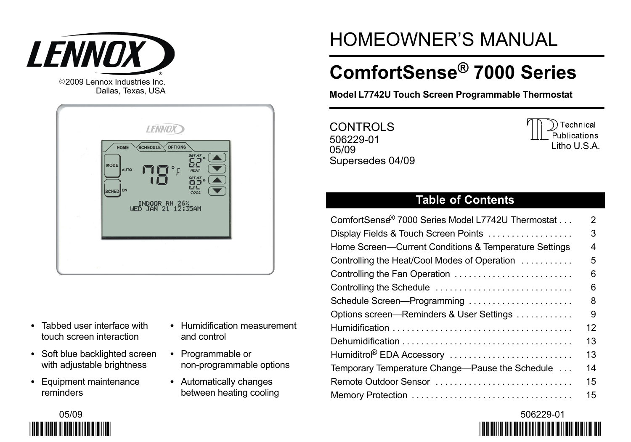

| <b>LENNOX</b><br>OPTIONS<br>SCHEDULE<br><b>HOME</b><br>$\frac{SETAT}{1}$<br><b>MODE</b><br>°۶<br><b>HEAT</b><br><b>AUTO</b><br>得<br>$\prod_{cool}^{SET AI}$<br>SCHED <sup>ON</sup> |  |
|------------------------------------------------------------------------------------------------------------------------------------------------------------------------------------|--|
| INDOOR RH 26%<br>WED JAN 21 12:35AM                                                                                                                                                |  |

- $\bullet$  Tabbed user interface with touch screen interaction
- Soft blue backlighted screen with adjustable brightness
- Equipment maintenance reminders
- Humidification measurement and control
- Programmable or non−programmable options
- Automatically changes between heating cooling

# HOMEOWNER'S MANUAL

# ComfortSense® 7000 Series

Model L7742U Touch Screen Programmable Thermostat

CONTROLS 506229−01 05/09 Supersedes 04/09



## Table of Contents

| ComfortSense <sup>®</sup> 7000 Series Model L7742U Thermostat | 2  |
|---------------------------------------------------------------|----|
| Display Fields & Touch Screen Points                          | 3  |
| Home Screen-Current Conditions & Temperature Settings         | 4  |
| Controlling the Heat/Cool Modes of Operation                  | 5  |
| Controlling the Fan Operation                                 | 6  |
| Controlling the Schedule                                      | 6  |
| Schedule Screen-Programming                                   | 8  |
| Options screen-Reminders & User Settings                      | 9  |
|                                                               | 12 |
|                                                               | 13 |
| Humiditro <sup>®</sup> EDA Accessory                          | 13 |
| Temporary Temperature Change—Pause the Schedule               | 14 |
| Remote Outdoor Sensor                                         | 15 |
| Memory Protection                                             | 15 |



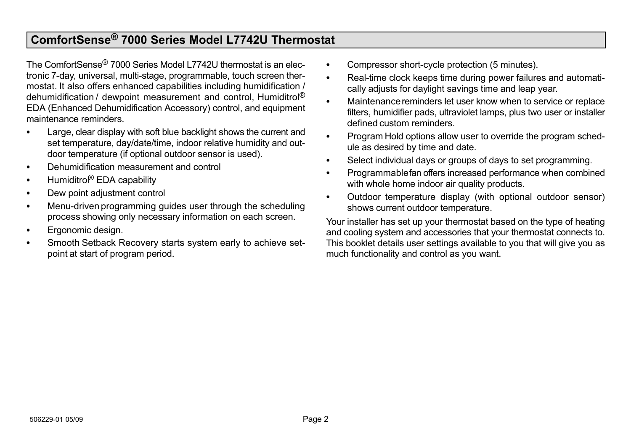## <span id="page-1-0"></span>ComfortSense® 7000 Series Model L7742U Thermostat

The ComfortSense<sup>®</sup> 7000 Series Model L7742U thermostat is an electronic 7−day, universal, multi−stage, programmable, touch screen thermostat. It also offers enhanced capabilities including humidification / dehumidification / dewpoint measurement and control, Humiditrol® EDA (Enhanced Dehumidification Accessory) control, and equipment maintenance reminders.

- . Large, clear display with soft blue backlight shows the current and set temperature, day/date/time, indoor relative humidity and outdoor temperature (if optional outdoor sensor is used).
- $\bullet$ Dehumidification measurement and control
- $\bullet$ Humiditro<sup>®</sup> EDA capability
- $\bullet$ Dew point adjustment control
- $\bullet$  Menu−driven programming guides user through the scheduling process showing only necessary information on each screen.
- . Ergonomic design.
- . Smooth Setback Recovery starts system early to achieve setpoint at start of program period.
- $\bullet$ Compressor short−cycle protection (5 minutes).
- . Real−time clock keeps time during power failures and automatically adjusts for daylight savings time and leap year.
- . Maintenance reminders let user know when to service or replace filters, humidifier pads, ultraviolet lamps, plus two user or installer defined custom reminders.
- . Program Hold options allow user to override the program schedule as desired by time and date.
- $\bullet$ Select individual days or groups of days to set programming.
- $\bullet$  Programmable fan offers increased performance when combined with whole home indoor air quality products.
- . Outdoor temperature display (with optional outdoor sensor) shows current outdoor temperature.

Your installer has set up your thermostat based on the type of heating and cooling system and accessories that your thermostat connects to. This booklet details user settings available to you that will give you as much functionality and control as you want.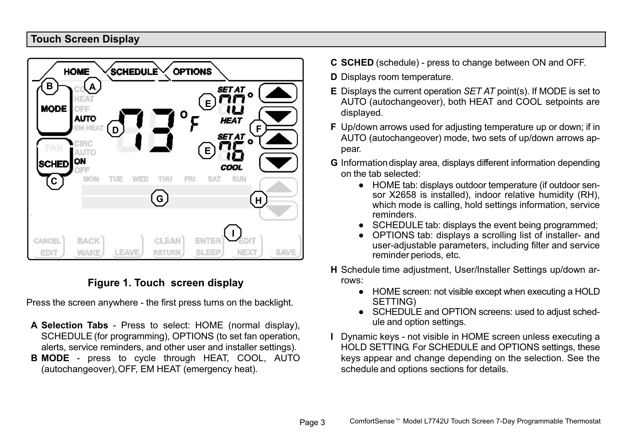#### <span id="page-2-0"></span>Touch Screen Display



#### Figure 1. Touch-screen display

Press the screen anywhere − the first press turns on the backlight.

- A Selection Tabs − Press to select: HOME (normal display), SCHEDULE (for programming), OPTIONS (to set fan operation, alerts, service reminders, and other user and installer settings).
- B MODE press to cycle through HEAT, COOL, AUTO (autochangeover), OFF, EM HEAT (emergency heat).
- C SCHED (schedule) − press to change between ON and OFF.
- D Displays room temperature.
- E Displays the current operation SET AT point(s). If MODE is set to AUTO (autochangeover), both HEAT and COOL setpoints are displayed.
- F Up/down arrows used for adjusting temperature up or down; if in AUTO (autochangeover) mode, two sets of up/down arrows appear.
- G Information display area, displays different information depending on the tab selected:
	- HOME tab: displays outdoor temperature (if outdoor sensor X2658 is installed), indoor relative humidity (RH), which mode is calling, hold settings information, service reminders.
	- **SCHEDULE tab: displays the event being programmed;**
	- OPTIONS tab: displays a scrolling list of installer- and user−adjustable parameters, including filter and service reminder periods, etc.
- H Schedule time adjustment, User/Installer Settings up/down arrows:
	- HOME screen: not visible except when executing a HOLD SETTING)
	- SCHEDULE and OPTION screens: used to adjust schedule and option settings.
- I Dynamic keys − not visible in HOME screen unless executing a HOLD SETTING. For SCHEDULE and OPTIONS settings, these keys appear and change depending on the selection. See the schedule and options sections for details.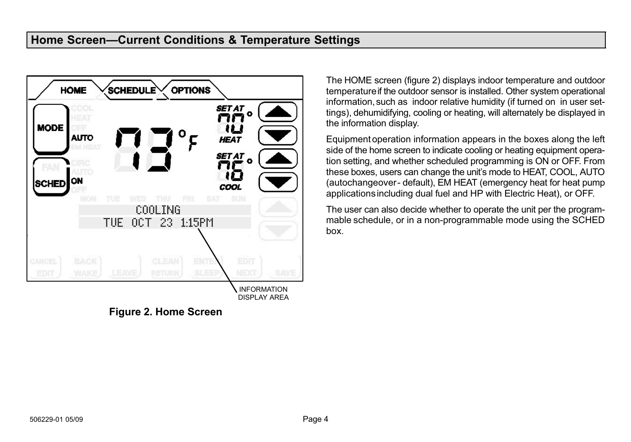### <span id="page-3-0"></span>Home Screen-Current Conditions & Temperature Settings



Figure 2. Home Screen

The HOME screen (figure 2) displays indoor temperature and outdoor temperature if the outdoor sensor is installed. Other system operational information, such as indoor relative humidity (if turned on in user settings), dehumidifying, cooling or heating, will alternately be displayed in the information display.

Equipment operation information appears in the boxes along the left side of the home screen to indicate cooling or heating equipment operation setting, and whether scheduled programming is ON or OFF. From these boxes, users can change the unit's mode to HEAT, COOL, AUTO (autochangeover − default), EM HEAT (emergency heat for heat pump applications including dual fuel and HP with Electric Heat), or OFF.

The user can also decide whether to operate the unit per the programmable schedule, or in a non−programmable mode using the SCHED box.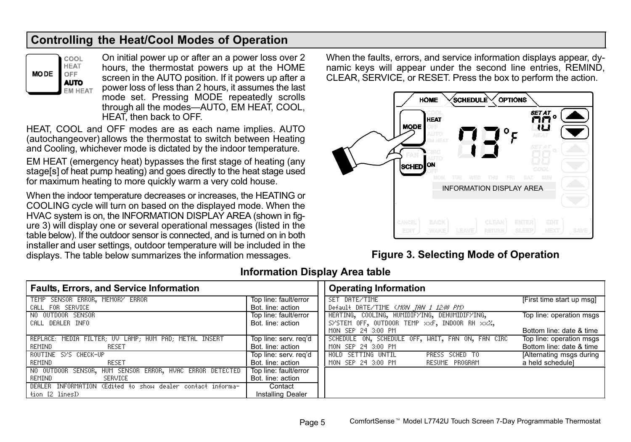## <span id="page-4-0"></span>Controlling the Heat/Cool Modes of Operation



On initial power up or after an a power loss over 2 hours, the thermostat powers up at the HOME screen in the AUTO position. If it powers up after a power loss of less than 2 hours, it assumes the last mode set. Pressing MODE repeatedly scrolls through all the modes-AUTO, EM HEAT, COOL, HEAT, then back to OFF.

HEAT, COOL and OFF modes are as each name implies. AUTO (autochangeover) allows the thermostat to switch between Heating and Cooling, whichever mode is dictated by the indoor temperature.

EM HEAT (emergency heat) bypasses the first stage of heating (any stage[s] of heat pump heating) and goes directly to the heat stage used for maximum heating to more quickly warm a very cold house.

When the indoor temperature decreases or increases, the HEATING or COOLING cycle will turn on based on the displayed mode. When the HVAC system is on, the INFORMATION DISPLAY AREA (shown in figure 3) will display one or several operational messages (listed in the table below). If the outdoor sensor is connected, and is turned on in both installer and user settings, outdoor temperature will be included in the displays. The table below summarizes the information messages.

When the faults, errors, and service information displays appear, dynamic keys will appear under the second line entries, REMIND, CLEAR, SERVICE, or RESET. Press the box to perform the action.



#### Figure 3. Selecting Mode of Operation

| <b>Faults, Errors, and Service Information</b>             |                       | <b>Operating Information</b>                                                  |
|------------------------------------------------------------|-----------------------|-------------------------------------------------------------------------------|
| TEMP SENSOR ERROR, MEMORY ERROR                            | Top line: fault/error | SET DATE/TIME<br>[First time start up msg]                                    |
| CALL FOR SERVICE                                           | Bot. line: action     | Default DATE/TIME (MON JAN 1 12:00 PM)                                        |
| NO OUTDOOR SENSOR                                          | Top line: fault/error | HEATING, COOLING, HUMIDIFYING, DEHUMIDIFYING,<br>Top line: operation msgs     |
| CALL DEALER INFO                                           | Bot. line: action     | SYSTEM OFF, OUTDOOR TEMP xxF, INDOOR RH xxX,                                  |
|                                                            |                       | MON SEP 24 3:00 PM<br>Bottom line: date & time                                |
| REPLACE: MEDIA FILTER: UV LAMP: HUM PAD: METAL INSERT      | Top line: serv. reg'd | SCHEDULE ON, SCHEDULE OFF, WAIT, FAN ON, FAN CIRC<br>Top line: operation msgs |
| REMIND<br>RESET                                            | Bot, line: action     | Bottom line: date & time<br>MON SEP 24 3:00 PM                                |
| ROUTINE SYS CHECK-UP                                       | Top line: serv. reg'd | HOLD SETTING UNTIL<br>PRESS SCHED TO<br>[Alternating msgs during              |
| REMIND<br>RESET                                            | Bot. line: action     | a held schedule]<br>MON SEP 24 3:00 PM<br>RESUME PROGRAM                      |
| NO OUTDOOR SENSOR, HUM SENSOR ERROR, HVAC ERROR DETECTED   | Top line: fault/error |                                                                               |
| REMIND<br>SERVICE                                          | Bot. line: action     |                                                                               |
| DEALER INFORMATION (Edited to show dealer contact informa- | Contact               |                                                                               |
| tion [2 lines])                                            | Installing Dealer     |                                                                               |

#### Information Display Area table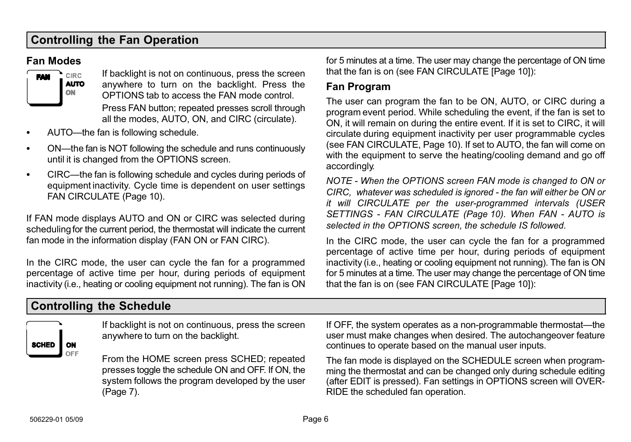## <span id="page-5-0"></span>Controlling the Fan Operation

#### Fan Modes



If backlight is not on continuous, press the screen anywhere to turn on the backlight. Press the OPTIONS tab to access the FAN mode control.

Press FAN button; repeated presses scroll through all the modes, AUTO, ON, and CIRC (circulate).

- . • AUTO--the fan is following schedule.
- . • ON—the fan is NOT following the schedule and runs continuously until it is changed from the OPTIONS screen.
- $\bullet$ • CIRC—the fan is following schedule and cycles during periods of equipment inactivity. Cycle time is dependent on user settings FAN CIRCULATE [\(Page 10](#page-9-0)).

If FAN mode displays AUTO and ON or CIRC was selected during scheduling for the current period, the thermostat will indicate the current fan mode in the information display (FAN ON or FAN CIRC).

In the CIRC mode, the user can cycle the fan for a programmed percentage of active time per hour, during periods of equipment inactivity (i.e., heating or cooling equipment not running). The fan is ON for 5 minutes at a time. The user may change the percentage of ON time that the fan is on (see FAN CIRCULATE [[Page 10\]](#page-9-0)):

#### Fan Program

The user can program the fan to be ON, AUTO, or CIRC during a program event period. While scheduling the event, if the fan is set to ON, it will remain on during the entire event. If it is set to CIRC, it will circulate during equipment inactivity per user programmable cycles (see FAN CIRCULATE, [Page 10](#page-9-0)). If set to AUTO, the fan will come on with the equipment to serve the heating/cooling demand and go off accordingly.

NOTE − When the OPTIONS screen FAN mode is changed to ON or CIRC, whatever was scheduled is ignored − the fan will either be ON or it will CIRCULATE per the user−programmed intervals (USER SETTINGS − FAN CIRCULATE [\(Page 10](#page-9-0)). When FAN − AUTO is selected in the OPTIONS screen, the schedule IS followed.

In the CIRC mode, the user can cycle the fan for a programmed percentage of active time per hour, during periods of equipment inactivity (i.e., heating or cooling equipment not running). The fan is ON for 5 minutes at a time. The user may change the percentage of ON time that the fan is on (see FAN CIRCULATE [[Page 10\]](#page-9-0)):

## Controlling the Schedule

| <b>SCHED</b> | ON<br>FF |
|--------------|----------|

If backlight is not on continuous, press the screen anywhere to turn on the backlight.

From the HOME screen press SCHED; repeated presses toggle the schedule ON and OFF. If ON, the system follows the program developed by the user [\(Page 7\)](#page-6-0).

If OFF, the system operates as a non-programmable thermostat—the user must make changes when desired. The autochangeover feature continues to operate based on the manual user inputs.

The fan mode is displayed on the SCHEDULE screen when programming the thermostat and can be changed only during schedule editing (after EDIT is pressed). Fan settings in OPTIONS screen will OVER-RIDE the scheduled fan operation.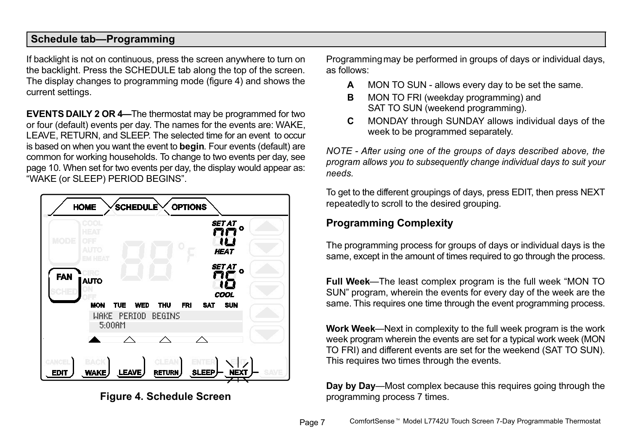#### <span id="page-6-0"></span>Schedule tab-Programming

If backlight is not on continuous, press the screen anywhere to turn on the backlight. Press the SCHEDULE tab along the top of the screen. The display changes to programming mode (figure 4) and shows the current settings.

**EVENTS DAILY 2 OR 4**—The thermostat may be programmed for two or four (default) events per day. The names for the events are: WAKE, LEAVE, RETURN, and SLEEP. The selected time for an event to occur is based on when you want the event to **begin**. Four events (default) are common for working households. To change to two events per day, see page [10](#page-9-0). When set for two events per day, the display would appear as: WAKE (or SLEEP) PERIOD BEGINS".



Figure 4. Schedule Screen

Programming may be performed in groups of days or individual days, as follows:

- A MON TO SUN − allows every day to be set the same.
- **B** MON TO FRI (weekday programming) and SAT TO SUN (weekend programming).
- C MONDAY through SUNDAY allows individual days of the week to be programmed separately.

NOTE − After using one of the groups of days described above, the program allows you to subsequently change individual days to suit your needs.

To get to the different groupings of days, press EDIT, then press NEXT repeatedly to scroll to the desired grouping.

## Programming Complexity

The programming process for groups of days or individual days is the same, except in the amount of times required to go through the process.

Full Week—The least complex program is the full week "MON TO SUN" program, wherein the events for every day of the week are the same. This requires one time through the event programming process.

Work Week—Next in complexity to the full week program is the work week program wherein the events are set for a typical work week (MON TO FRI) and different events are set for the weekend (SAT TO SUN). This requires two times through the events.

Day by Day—Most complex because this requires going through the programming process 7 times.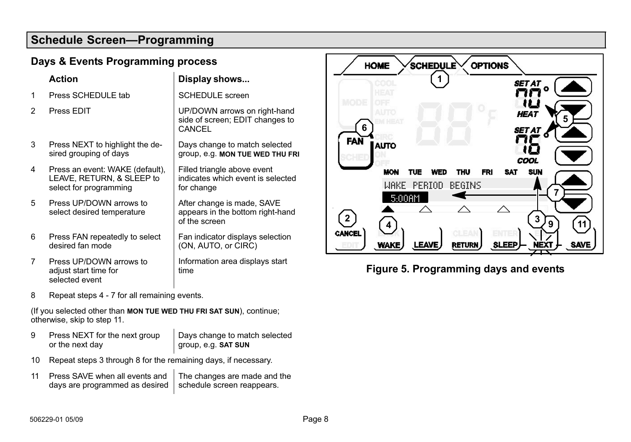## <span id="page-7-0"></span>Schedule Screen-Programming

#### Days & Events Programming process

|   | Action                                                                                 | Display shows                                                                   |
|---|----------------------------------------------------------------------------------------|---------------------------------------------------------------------------------|
| 1 | Press SCHEDULE tab                                                                     | <b>SCHEDULE</b> screen                                                          |
| 2 | Press EDIT                                                                             | UP/DOWN arrows on right-hand<br>side of screen; EDIT changes to<br>CANCEL       |
| 3 | Press NEXT to highlight the de-<br>sired grouping of days                              | Days change to match selected<br>group, e.g. MON TUE WED THU FRI                |
| 4 | Press an event: WAKE (default),<br>LEAVE, RETURN, & SLEEP to<br>select for programming | Filled triangle above event<br>indicates which event is selected<br>for change  |
| 5 | Press UP/DOWN arrows to<br>select desired temperature                                  | After change is made, SAVE<br>appears in the bottom right-hand<br>of the screen |
| 6 | Press FAN repeatedly to select<br>desired fan mode                                     | Fan indicator displays selection<br>(ON, AUTO, or CIRC)                         |
| 7 | Press UP/DOWN arrows to<br>adjust start time for<br>selected event                     | Information area displays start<br>time                                         |

8 Repeat steps 4 − 7 for all remaining events.

(If you selected other than MON TUE WED THU FRI SAT SUN), continue; otherwise, skip to step 11.

- 9 Press NEXT for the next group or the next day Days change to match selected group, e.g. SAT SUN
- 10 Repeat steps 3 through 8 for the remaining days, if necessary.
- 11 Press SAVE when all events and days are programmed as desired The changes are made and the schedule screen reappears.



## Figure 5. Programming days and events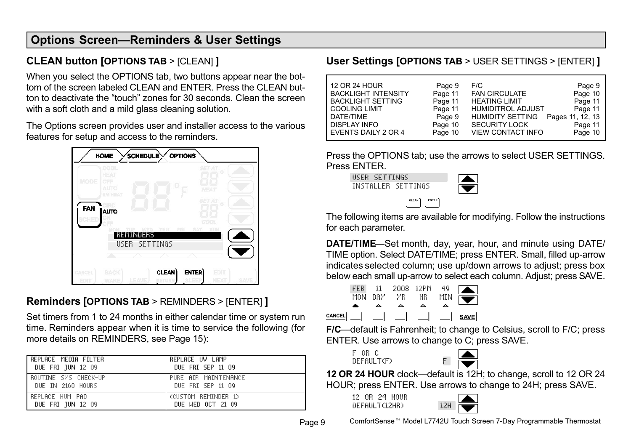## <span id="page-8-0"></span>**Options Screen-Reminders & User Settings**

## CLEAN button [OPTIONS TAB > [CLEAN] ]

When you select the OPTIONS tab, two buttons appear near the bottom of the screen labeled CLEAN and ENTER. Press the CLEAN button to deactivate the "touch" zones for 30 seconds. Clean the screen with a soft cloth and a mild glass cleaning solution.

The Options screen provides user and installer access to the various features for setup and access to the reminders.



## Reminders [OPTIONS TAB > REMINDERS > [ENTER] ]

Set timers from 1 to 24 months in either calendar time or system run time. Reminders appear when it is time to service the following (for more details on REMINDERS, see [Page 15\)](#page-14-0):

| REPLACE MEDIA FILTER | REPLACE UV LAMP      |
|----------------------|----------------------|
| DUE FRI JUN 12 09    | DUE FRI SEP 11 09    |
| ROUTINE SYS CHECK-UP | PURE AIR MAINTENANCE |
| DUE IN 2160 HOURS    | DUE FRI SEP 11 09    |
| REPLACE HUM PAD      | (CUSTOM REMINDER 1)  |
| DUE FRI JUN 12 09    | DUE WED OCT 21 09    |

#### User Settings [OPTIONS TAB > USER SETTINGS > [ENTER] ]

| 12 OR 24 HOUR<br><b>BACKLIGHT INTENSITY</b><br><b>BACKLIGHT SETTING</b><br>COOLING LIMIT<br>DATE/TIME<br><b>DISPLAY INFO</b> | Page 9<br>Page 11<br>Page 11<br>Page 11<br>Page 9<br>Page 10 | F/C<br><b>FAN CIRCULATE</b><br><b>HEATING LIMIT</b><br><b>HUMIDITROL ADJUST</b><br><b>HUMIDITY SETTING</b><br><b>SECURITY LOCK</b> | Page 9<br>Page 10<br>Page 11<br>Page 11<br>Pages 11, 12, 13<br>Page 11 |
|------------------------------------------------------------------------------------------------------------------------------|--------------------------------------------------------------|------------------------------------------------------------------------------------------------------------------------------------|------------------------------------------------------------------------|
|                                                                                                                              |                                                              |                                                                                                                                    |                                                                        |
| EVENTS DAILY 2 OR 4                                                                                                          | Page 10                                                      | <b>VIEW CONTACT INFO</b>                                                                                                           | Page 10                                                                |

Press the OPTIONS tab; use the arrows to select USER SETTINGS. Press ENTER.

USER SETTINGS INSTALLER SETTINGS



The following items are available for modifying. Follow the instructions for each parameter.

DATE/TIME-Set month, day, year, hour, and minute using DATE/ TIME option. Select DATE/TIME; press ENTER. Small, filled up-arrow indicates selected column; use up/down arrows to adjust; press box below each small up-arrow to select each column. Adjust; press SAVE.

|        | <b>FFR</b><br>MON | 11<br>nav | 2008 12PM<br>УR | ΗR | 49<br>MIN |             |
|--------|-------------------|-----------|-----------------|----|-----------|-------------|
| CANCEL |                   |           |                 |    |           | <b>SAVE</b> |

F/C—default is Fahrenheit; to change to Celsius, scroll to F/C; press ENTER. Use arrows to change to C; press SAVE.

F OR C  $DFF$ AULT $(F)$ 



12 OR 24 HOUR clock—default is 12H; to change, scroll to 12 OR 24 HOUR; press ENTER. Use arrows to change to 24H; press SAVE.

12 OR 24 HOUR DEFAULT(12HR)



Page 9 ComfortSense Model L7742U Touch Screen 7-Day Programmable Thermostat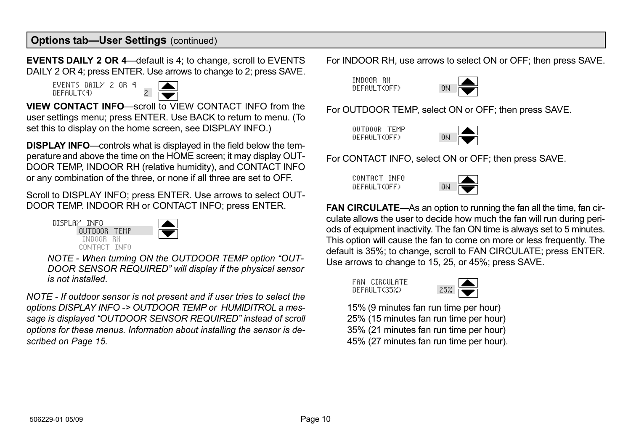#### <span id="page-9-0"></span>**Options tab-User Settings (continued)**

**EVENTS DAILY 2 OR 4**—default is 4; to change, scroll to EVENTS DAILY 2 OR 4; press ENTER. Use arrows to change to 2; press SAVE.

EVENTS DAILY 2 OR 4 DEFAULT(4) 2



VIEW CONTACT INFO-scroll to VIEW CONTACT INFO from the user settings menu; press ENTER. Use BACK to return to menu. (To set this to display on the home screen, see DISPLAY INFO.)

DISPLAY INFO-controls what is displayed in the field below the temperature and above the time on the HOME screen; it may display OUT-DOOR TEMP, INDOOR RH (relative humidity), and CONTACT INFO or any combination of the three, or none if all three are set to OFF.

Scroll to DISPLAY INFO; press ENTER. Use arrows to select OUT-DOOR TEMP. INDOOR RH or CONTACT INFO; press ENTER.

DISPLAY INFO OUTDOOR TEMP INDOOR RH CONTACT INFO



NOTE - When turning ON the OUTDOOR TEMP option "OUT-DOOR SENSOR REQUIRED" will display if the physical sensor is not installed.

NOTE − If outdoor sensor is not present and if user tries to select the options DISPLAY INFO −> OUTDOOR TEMP or HUMIDITROL a message is displayed "OUTDOOR SENSOR REQUIRED" instead of scroll options for these menus. Information about installing the sensor is described on [Page 15.](#page-14-0)

For INDOOR RH, use arrows to select ON or OFF; then press SAVE.

INDOOR RH DEFAULT(OFF)



For OUTDOOR TEMP, select ON or OFF; then press SAVE.

OUTDOOR TEMP DEFAULT(OFF)



For CONTACT INFO, select ON or OFF; then press SAVE.

CONTACT INFO  $DFF$ AULT $(OFF)$ 



FAN CIRCULATE—As an option to running the fan all the time, fan circulate allows the user to decide how much the fan will run during periods of equipment inactivity. The fan ON time is always set to 5 minutes. This option will cause the fan to come on more or less frequently. The default is 35%; to change, scroll to FAN CIRCULATE; press ENTER. Use arrows to change to 15, 25, or 45%; press SAVE.

FAN CIRCULATE DEFAULT(35%)



15% (9 minutes fan run time per hour) 25% (15 minutes fan run time per hour) 35% (21 minutes fan run time per hour) 45% (27 minutes fan run time per hour).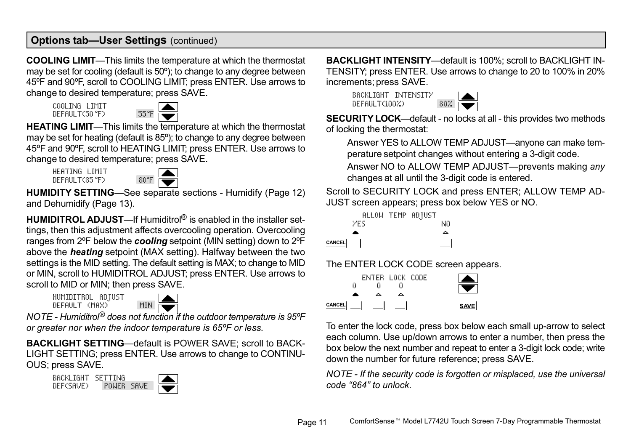#### <span id="page-10-0"></span>**Options tab-User Settings (continued)**

**COOLING LIMIT**—This limits the temperature at which the thermostat may be set for cooling (default is 50º); to change to any degree between 45ºF and 90ºF, scroll to COOLING LIMIT; press ENTER. Use arrows to change to desired temperature; press SAVE.

COOLING LIMIT DEFAULT(50°F)



HEATING LIMIT-This limits the temperature at which the thermostat may be set for heating (default is 85º); to change to any degree between 45ºF and 90ºF, scroll to HEATING LIMIT; press ENTER. Use arrows to change to desired temperature; press SAVE.

HEATING LIMIT DEFAULT(85°F)



HUMIDITY SETTING—See separate sections - Humidify [\(Page 12](#page-11-0)) and Dehumidify ([Page 13\)](#page-12-0).

HUMIDITROL ADJUST—If Humiditrol<sup>®</sup> is enabled in the installer settings, then this adjustment affects overcooling operation. Overcooling ranges from 2°F below the **cooling** setpoint (MIN setting) down to 2°F above the **heating** setpoint (MAX setting). Halfway between the two settings is the MID setting. The default setting is MAX; to change to MID or MIN, scroll to HUMIDITROL ADJUST; press ENTER. Use arrows to scroll to MID or MIN; then press SAVE.

HUMIDITROL ADJUST  $DF$ FAULT (MAX)



NOTE − Humiditrol® does not function if the outdoor temperature is 95ºF or greater nor when the indoor temperature is 65ºF or less.

BACKLIGHT SETTING- default is POWER SAVE; scroll to BACK-LIGHT SETTING; press ENTER. Use arrows to change to CONTINU-OUS; press SAVE.

BACKLIGHT SETTING DEF(SAVE) POWER SAVE



**BACKLIGHT INTENSITY**—default is 100%; scroll to BACKLIGHT IN-TENSITY; press ENTER. Use arrows to change to 20 to 100% in 20% increments; press SAVE.

BACKLIGHT INTENSITY DEFAULT(100%)



SECURITY LOCK—default - no locks at all - this provides two methods of locking the thermostat:

Answer YES to ALLOW TEMP ADJUST—anyone can make temperature setpoint changes without entering a 3−digit code.

Answer NO to ALLOW TEMP ADJUST—prevents making any changes at all until the 3−digit code is entered.

Scroll to SECURITY LOCK and press ENTER; ALLOW TEMP AD-JUST screen appears; press box below YES or NO.

|        |     | ALLOW TEMP ADJUST |    |
|--------|-----|-------------------|----|
|        | УFS |                   | NΩ |
|        |     |                   | ⌒  |
| CANCEL |     |                   |    |

The ENTER LOCK CODE screen appears.

|               |   | <b>ENTER LOCK CODE</b> |  |             |
|---------------|---|------------------------|--|-------------|
|               | n |                        |  |             |
|               |   |                        |  |             |
| <b>CANCEL</b> |   |                        |  | <b>SAVE</b> |

To enter the lock code, press box below each small up-arrow to select each column. Use up/down arrows to enter a number, then press the box below the next number and repeat to enter a 3-digit lock code; write down the number for future reference; press SAVE.

NOTE − If the security code is forgotten or misplaced, use the universal code -864" to unlock.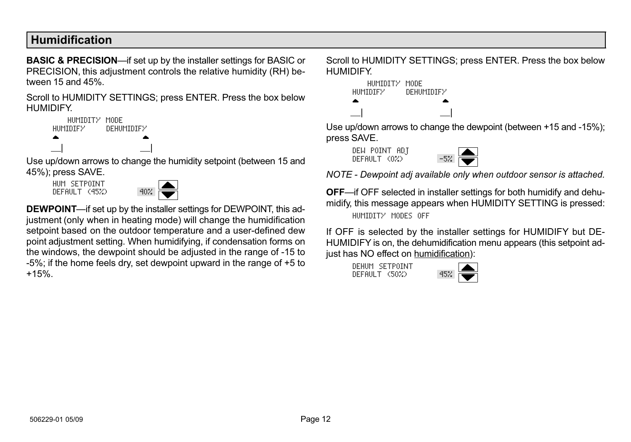#### <span id="page-11-0"></span>Humidification

**BASIC & PRECISION**—if set up by the installer settings for BASIC or PRECISION, this adjustment controls the relative humidity (RH) between 15 and 45%.

Scroll to HUMIDITY SETTINGS; press ENTER. Press the box below HUMIDIFY.

```
 HUMIDITY MODE
HUMIDIFY DEHUMIDIFY
 | |
```
Use up/down arrows to change the humidity setpoint (between 15 and 45%); press SAVE.

HUM SETPOINT  $DFFAllIT (45%)$ 



**DEWPOINT**—if set up by the installer settings for DEWPOINT, this adjustment (only when in heating mode) will change the humidification setpoint based on the outdoor temperature and a user−defined dew point adjustment setting. When humidifying, if condensation forms on the windows, the dewpoint should be adjusted in the range of −15 to −5%; if the home feels dry, set dewpoint upward in the range of +5 to +15%.

Scroll to HUMIDITY SETTINGS; press ENTER. Press the box below HUMIDIFY.



Use up/down arrows to change the dewpoint (between +15 and −15%); press SAVE.





NOTE − Dewpoint adj available only when outdoor sensor is attached.

OFF-if OFF selected in installer settings for both humidify and dehumidify, this message appears when HUMIDITY SETTING is pressed: HUMIDITY MODES OFF

If OFF is selected by the installer settings for HUMIDIFY but DE-HUMIDIFY is on, the dehumidification menu appears (this setpoint adjust has NO effect on humidification):

DEHUM SETPOINT  $DF$  $H$  $H$  $T$   $(50%)$ 

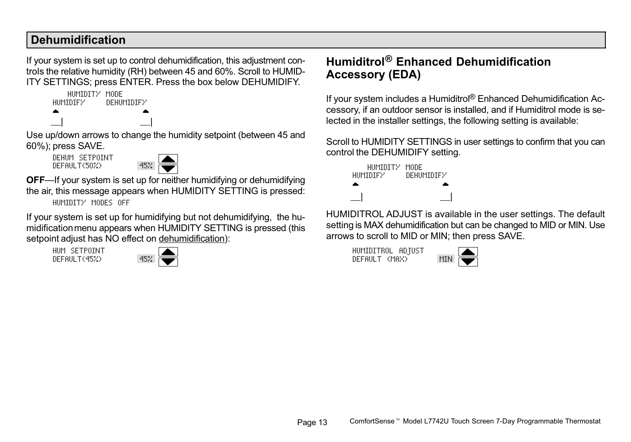## <span id="page-12-0"></span>Dehumidification

If your system is set up to control dehumidification, this adjustment controls the relative humidity (RH) between 45 and 60%. Scroll to HUMID-ITY SETTINGS; press ENTER. Press the box below DEHUMIDIFY.



Use up/down arrows to change the humidity setpoint (between 45 and 60%); press SAVE.

DEHUM SETPOINT DEFAULT(50%)



**OFF**—If your system is set up for neither humidifying or dehumidifying the air, this message appears when HUMIDITY SETTING is pressed:

HUMIDITY MODES OFF

If your system is set up for humidifying but not dehumidifying, the humidification menu appears when HUMIDITY SETTING is pressed (this setpoint adjust has NO effect on dehumidification):

HUM SETPOINT DEFAULT(45%)



## Humiditrol® Enhanced Dehumidification Accessory (EDA)

If your system includes a Humiditrol® Enhanced Dehumidification Accessory, if an outdoor sensor is installed, and if Humiditrol mode is selected in the installer settings, the following setting is available:

Scroll to HUMIDITY SETTINGS in user settings to confirm that you can control the DEHUMIDIFY setting.



HUMIDITROL ADJUST is available in the user settings. The default setting is MAX dehumidification but can be changed to MID or MIN. Use arrows to scroll to MID or MIN; then press SAVE.

HUMIDITROL ADJUST DEFAULT (MAX) MIN

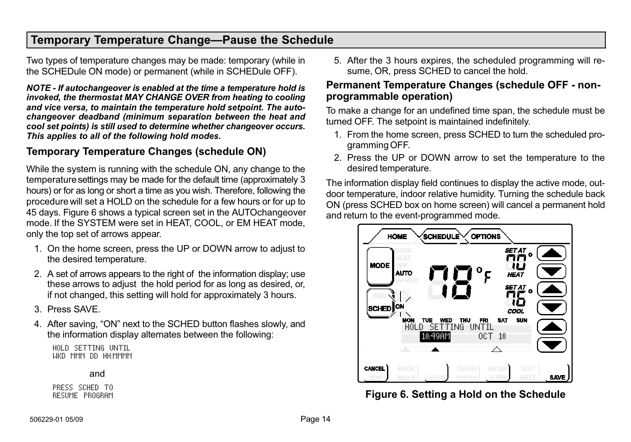## <span id="page-13-0"></span>Temporary Temperature Change—Pause the Schedule

Two types of temperature changes may be made: temporary (while in the SCHEDule ON mode) or permanent (while in SCHEDule OFF).

NOTE − If autochangeover is enabled at the time a temperature hold is invoked, the thermostat MAY CHANGE OVER from heating to cooling and vice versa, to maintain the temperature hold setpoint. The autochangeover deadband (minimum separation between the heat and cool set points) is still used to determine whether changeover occurs. This applies to all of the following hold modes.

#### Temporary Temperature Changes (schedule ON)

While the system is running with the schedule ON, any change to the temperature settings may be made for the default time (approximately 3 hours) or for as long or short a time as you wish. Therefore, following the procedure will set a HOLD on the schedule for a few hours or for up to 45 days. Figure 6 shows a typical screen set in the AUTOchangeover mode. If the SYSTEM were set in HEAT, COOL, or EM HEAT mode, only the top set of arrows appear.

- 1. On the home screen, press the UP or DOWN arrow to adjust to the desired temperature.
- 2. A set of arrows appears to the right of the information display; use these arrows to adjust the hold period for as long as desired, or, if not changed, this setting will hold for approximately 3 hours.
- 3. Press SAVE.
- 4. After saving, "ON" next to the SCHED button flashes slowly, and the information display alternates between the following:

HOLD SETTING UNTIL WKD MMM DD HH:MMMM

and

PRESS SCHED TO RESUME PROGRAM 5. After the 3 hours expires, the scheduled programming will resume, OR, press SCHED to cancel the hold.

#### Permanent Temperature Changes (schedule OFF − non− programmable operation)

To make a change for an undefined time span, the schedule must be turned OFF. The setpoint is maintained indefinitely.

- 1. From the home screen, press SCHED to turn the scheduled programming OFF.
- 2. Press the UP or DOWN arrow to set the temperature to the desired temperature.

The information display field continues to display the active mode, outdoor temperature, indoor relative humidity. Turning the schedule back ON (press SCHED box on home screen) will cancel a permanent hold and return to the event-programmed mode.

| <b>OPTIONS</b><br><b>HOME</b><br>SCHEDULE <sup>\</sup>                                                                        |
|-------------------------------------------------------------------------------------------------------------------------------|
| <b>SET AT</b><br>۰<br>ורי<br>4<br><b>MODE</b><br>о<br><b>AUTO</b><br>HEAT<br><b>SET AT</b><br>۰<br>ON<br><b>SCHED</b><br>COOL |
| SUN<br>MON<br>THU<br>FRI<br>SAT<br>TUE<br>WED<br>HOLD<br>TING<br>UNTIL<br>SF<br>10:49AM<br>0CT.<br>- 10                       |
| <b>CANCEL</b><br>SAVE                                                                                                         |

Figure 6. Setting a Hold on the Schedule